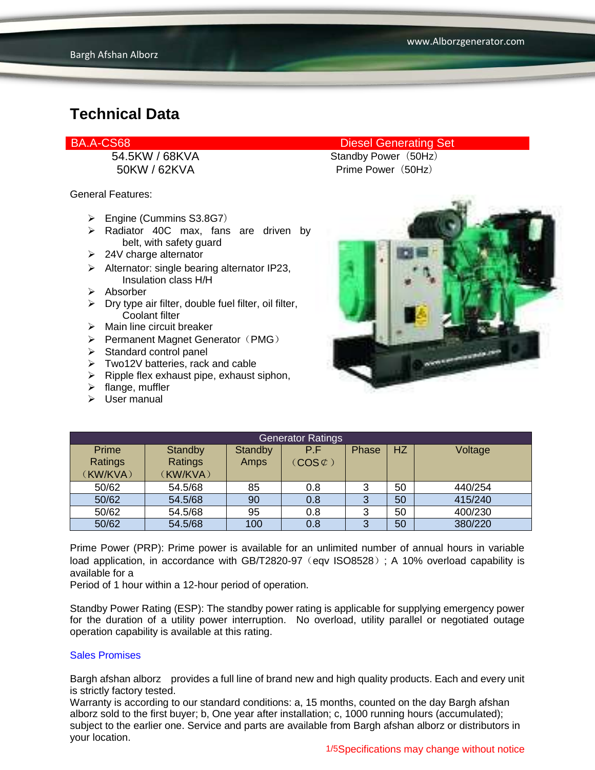General Features:

- Engine (Cummins S3.8G7)
- > Radiator 40C max, fans are driven by belt, with safety guard
- $\geq$  24V charge alternator
- $\triangleright$  Alternator: single bearing alternator IP23, Insulation class H/H
- $\triangleright$  Absorber
- $\triangleright$  Dry type air filter, double fuel filter, oil filter, Coolant filter
- $\triangleright$  Main line circuit breaker
- $\triangleright$  Permanent Magnet Generator (PMG)
- $\triangleright$  Standard control panel
- Two12V batteries, rack and cable
- $\triangleright$  Ripple flex exhaust pipe, exhaust siphon,
- $\triangleright$  flange, muffler
- $\triangleright$  User manual

### BA.A-CS68 Diesel Generating Set

54.5KW / 68KVA Standby Power (50Hz) 50KW / 62KVA Prime Power (50Hz)



| <b>Generator Ratings</b> |          |         |                     |       |           |         |
|--------------------------|----------|---------|---------------------|-------|-----------|---------|
| Prime                    | Standby  | Standby | P.F                 | Phase | <b>HZ</b> | Voltage |
| Ratings                  | Ratings  | Amps    | $(COS \mathcal{L})$ |       |           |         |
| (KW/KVA)                 | (KW/KVA) |         |                     |       |           |         |
| 50/62                    | 54.5/68  | 85      | 0.8                 | 3     | 50        | 440/254 |
| 50/62                    | 54.5/68  | 90      | 0.8                 |       | 50        | 415/240 |
| 50/62                    | 54.5/68  | 95      | 0.8                 | 3     | 50        | 400/230 |
| 50/62                    | 54.5/68  | 100     | 0.8                 |       | 50        | 380/220 |

Prime Power (PRP): Prime power is available for an unlimited number of annual hours in variable load application, in accordance with GB/T2820-97 (eqv ISO8528); A 10% overload capability is available for a

Period of 1 hour within a 12-hour period of operation.

Standby Power Rating (ESP): The standby power rating is applicable for supplying emergency power for the duration of a utility power interruption. No overload, utility parallel or negotiated outage operation capability is available at this rating.

#### Sales Promises

Bargh afshan alborz provides a full line of brand new and high quality products. Each and every unit is strictly factory tested.

Warranty is according to our standard conditions: a, 15 months, counted on the day Bargh afshan alborz sold to the first buyer; b, One year after installation; c, 1000 running hours (accumulated); subject to the earlier one. Service and parts are available from Bargh afshan alborz or distributors in your location.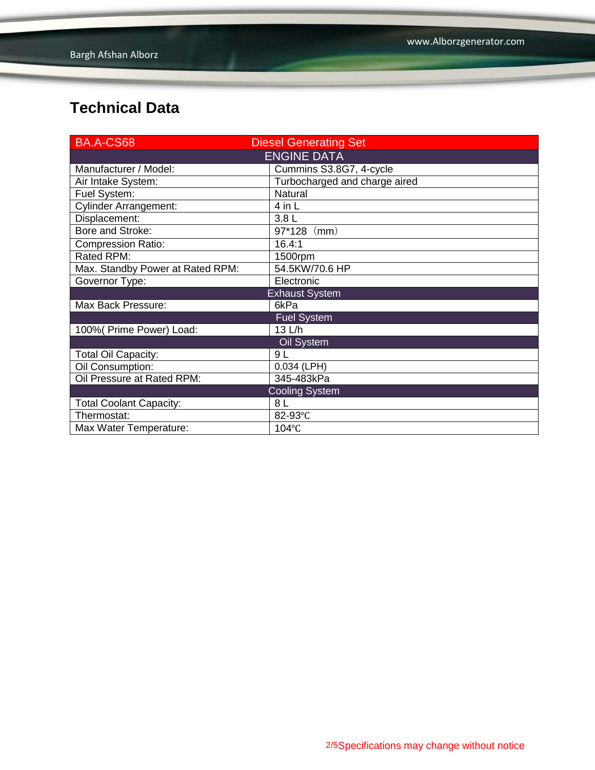| BA.A-CS68                        | <b>Diesel Generating Set</b>  |  |  |  |
|----------------------------------|-------------------------------|--|--|--|
| <b>ENGINE DATA</b>               |                               |  |  |  |
| Manufacturer / Model:            | Cummins S3.8G7, 4-cycle       |  |  |  |
| Air Intake System:               | Turbocharged and charge aired |  |  |  |
| Fuel System:                     | Natural                       |  |  |  |
| <b>Cylinder Arrangement:</b>     | 4 in L                        |  |  |  |
| Displacement:                    | 3.8L                          |  |  |  |
| Bore and Stroke:                 | $97*128$ (mm)                 |  |  |  |
| <b>Compression Ratio:</b>        | 16.4:1                        |  |  |  |
| Rated RPM:                       | 1500rpm                       |  |  |  |
| Max. Standby Power at Rated RPM: | 54.5KW/70.6 HP                |  |  |  |
| Governor Type:                   | Electronic                    |  |  |  |
|                                  | <b>Exhaust System</b>         |  |  |  |
| Max Back Pressure:               | 6kPa                          |  |  |  |
|                                  | <b>Fuel System</b>            |  |  |  |
| 100% (Prime Power) Load:         | 13 L/h                        |  |  |  |
|                                  | Oil System                    |  |  |  |
| <b>Total Oil Capacity:</b>       | 9L                            |  |  |  |
| Oil Consumption:                 | $0.034$ (LPH)                 |  |  |  |
| Oil Pressure at Rated RPM:       | 345-483kPa                    |  |  |  |
|                                  | <b>Cooling System</b>         |  |  |  |
| <b>Total Coolant Capacity:</b>   | 8 L                           |  |  |  |
| Thermostat:                      | 82-93°C                       |  |  |  |
| Max Water Temperature:           | 104°C                         |  |  |  |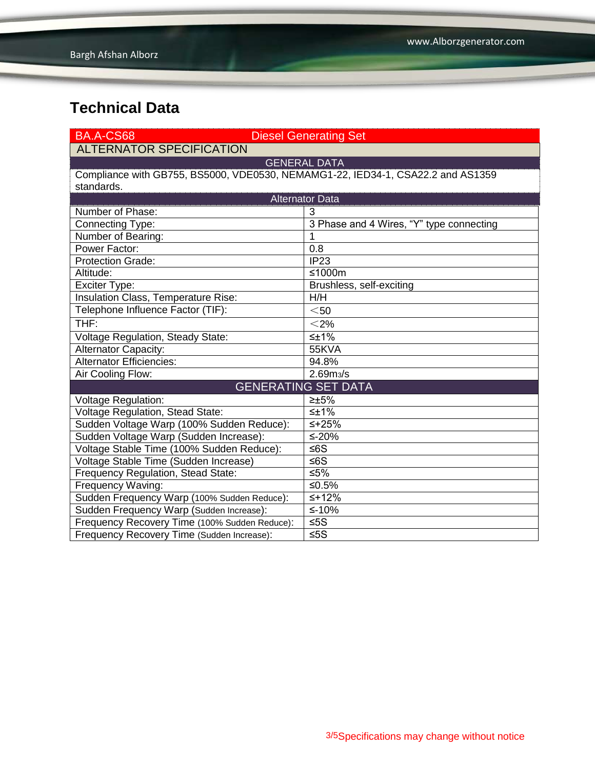| BA.A-CS68                                                                       | <b>Diesel Generating Set</b>             |  |  |  |  |  |
|---------------------------------------------------------------------------------|------------------------------------------|--|--|--|--|--|
| <b>ALTERNATOR SPECIFICATION</b>                                                 |                                          |  |  |  |  |  |
|                                                                                 | <b>GENERAL DATA</b>                      |  |  |  |  |  |
| Compliance with GB755, BS5000, VDE0530, NEMAMG1-22, IED34-1, CSA22.2 and AS1359 |                                          |  |  |  |  |  |
| standards.                                                                      |                                          |  |  |  |  |  |
| <b>Alternator Data</b>                                                          |                                          |  |  |  |  |  |
| Number of Phase:                                                                | 3                                        |  |  |  |  |  |
| Connecting Type:                                                                | 3 Phase and 4 Wires, "Y" type connecting |  |  |  |  |  |
| Number of Bearing:                                                              | 1                                        |  |  |  |  |  |
| Power Factor:                                                                   | 0.8                                      |  |  |  |  |  |
| <b>Protection Grade:</b>                                                        | IP23                                     |  |  |  |  |  |
| Altitude:                                                                       | ≤1000m                                   |  |  |  |  |  |
| <b>Exciter Type:</b>                                                            | Brushless, self-exciting                 |  |  |  |  |  |
| Insulation Class, Temperature Rise:                                             | H/H                                      |  |  |  |  |  |
| Telephone Influence Factor (TIF):                                               | $<$ 50 $\,$                              |  |  |  |  |  |
| THF:                                                                            | $<$ 2%                                   |  |  |  |  |  |
| Voltage Regulation, Steady State:                                               | $\leq \pm 1\%$                           |  |  |  |  |  |
| Alternator Capacity:                                                            | 55KVA                                    |  |  |  |  |  |
| <b>Alternator Efficiencies:</b>                                                 | 94.8%                                    |  |  |  |  |  |
| Air Cooling Flow:                                                               | 2.69 <sub>m3</sub> /s                    |  |  |  |  |  |
|                                                                                 | <b>GENERATING SET DATA</b>               |  |  |  |  |  |
| <b>Voltage Regulation:</b>                                                      | $\geq \pm 5\%$                           |  |  |  |  |  |
| Voltage Regulation, Stead State:                                                | $\leq \pm 1\%$                           |  |  |  |  |  |
| Sudden Voltage Warp (100% Sudden Reduce):                                       | $5 + 25%$                                |  |  |  |  |  |
| Sudden Voltage Warp (Sudden Increase):                                          | ≤-20%                                    |  |  |  |  |  |
| Voltage Stable Time (100% Sudden Reduce):                                       | $≤6S$                                    |  |  |  |  |  |
| Voltage Stable Time (Sudden Increase)                                           | ≤6S                                      |  |  |  |  |  |
| Frequency Regulation, Stead State:                                              | ≤5%                                      |  |  |  |  |  |
| Frequency Waving:                                                               | ≤0.5%                                    |  |  |  |  |  |
| Sudden Frequency Warp (100% Sudden Reduce):                                     | $≤+12%$                                  |  |  |  |  |  |
| Sudden Frequency Warp (Sudden Increase):                                        | $≤-10%$                                  |  |  |  |  |  |
| Frequency Recovery Time (100% Sudden Reduce):                                   | $≤5S$                                    |  |  |  |  |  |
| Frequency Recovery Time (Sudden Increase):                                      | $≤5S$                                    |  |  |  |  |  |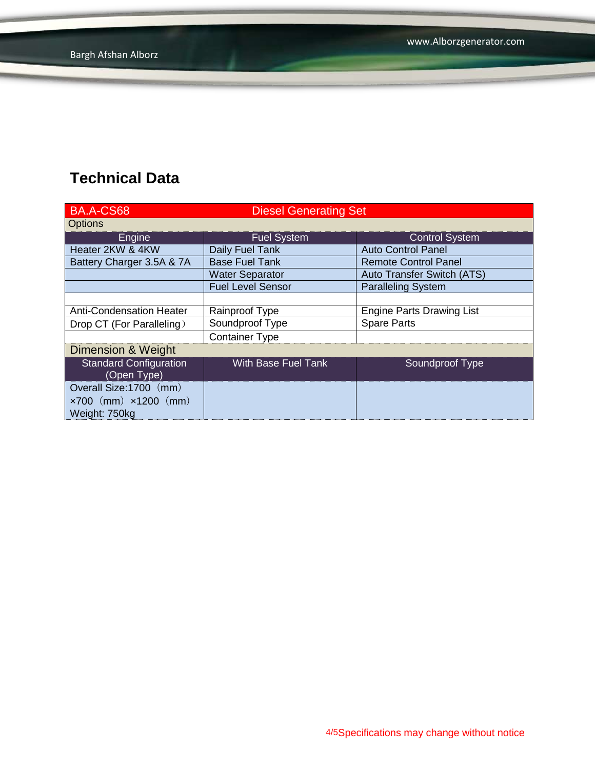| <b>BA.A-CS68</b>                             | <b>Diesel Generating Set</b> |                                  |  |
|----------------------------------------------|------------------------------|----------------------------------|--|
| <b>Options</b>                               |                              |                                  |  |
| Engine                                       | Fuel System                  | <b>Control System</b>            |  |
| Heater 2KW & 4KW                             | Daily Fuel Tank              | <b>Auto Control Panel</b>        |  |
| Battery Charger 3.5A & 7A                    | <b>Base Fuel Tank</b>        | <b>Remote Control Panel</b>      |  |
|                                              | <b>Water Separator</b>       | Auto Transfer Switch (ATS)       |  |
|                                              | <b>Fuel Level Sensor</b>     | <b>Paralleling System</b>        |  |
|                                              |                              |                                  |  |
| Anti-Condensation Heater                     | Rainproof Type               | <b>Engine Parts Drawing List</b> |  |
| Drop CT (For Paralleling)                    | Soundproof Type              | <b>Spare Parts</b>               |  |
|                                              | <b>Container Type</b>        |                                  |  |
| Dimension & Weight                           |                              |                                  |  |
| <b>Standard Configuration</b><br>(Open Type) | With Base Fuel Tank          | Soundproof Type                  |  |
| Overall Size:1700 (mm)                       |                              |                                  |  |
| $\times 700$ (mm) $\times 1200$ (mm)         |                              |                                  |  |
| Weight: 750kg                                |                              |                                  |  |